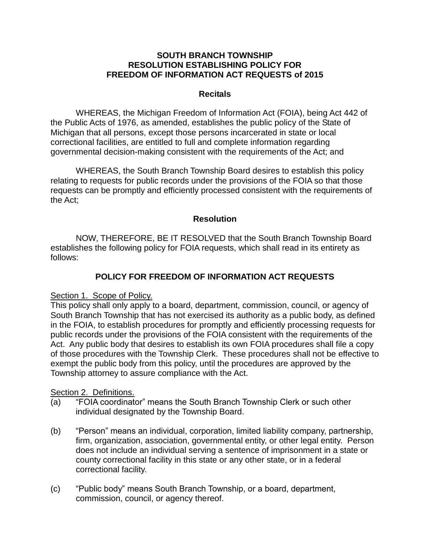#### **SOUTH BRANCH TOWNSHIP RESOLUTION ESTABLISHING POLICY FOR FREEDOM OF INFORMATION ACT REQUESTS of 2015**

#### **Recitals**

WHEREAS, the Michigan Freedom of Information Act (FOIA), being Act 442 of the Public Acts of 1976, as amended, establishes the public policy of the State of Michigan that all persons, except those persons incarcerated in state or local correctional facilities, are entitled to full and complete information regarding governmental decision-making consistent with the requirements of the Act; and

WHEREAS, the South Branch Township Board desires to establish this policy relating to requests for public records under the provisions of the FOIA so that those requests can be promptly and efficiently processed consistent with the requirements of the Act;

## **Resolution**

NOW, THEREFORE, BE IT RESOLVED that the South Branch Township Board establishes the following policy for FOIA requests, which shall read in its entirety as follows:

# **POLICY FOR FREEDOM OF INFORMATION ACT REQUESTS**

## Section 1. Scope of Policy.

This policy shall only apply to a board, department, commission, council, or agency of South Branch Township that has not exercised its authority as a public body, as defined in the FOIA, to establish procedures for promptly and efficiently processing requests for public records under the provisions of the FOIA consistent with the requirements of the Act. Any public body that desires to establish its own FOIA procedures shall file a copy of those procedures with the Township Clerk. These procedures shall not be effective to exempt the public body from this policy, until the procedures are approved by the Township attorney to assure compliance with the Act.

## Section 2. Definitions.

- (a) "FOIA coordinator" means the South Branch Township Clerk or such other individual designated by the Township Board.
- (b) "Person" means an individual, corporation, limited liability company, partnership, firm, organization, association, governmental entity, or other legal entity. Person does not include an individual serving a sentence of imprisonment in a state or county correctional facility in this state or any other state, or in a federal correctional facility.
- (c) "Public body" means South Branch Township, or a board, department, commission, council, or agency thereof.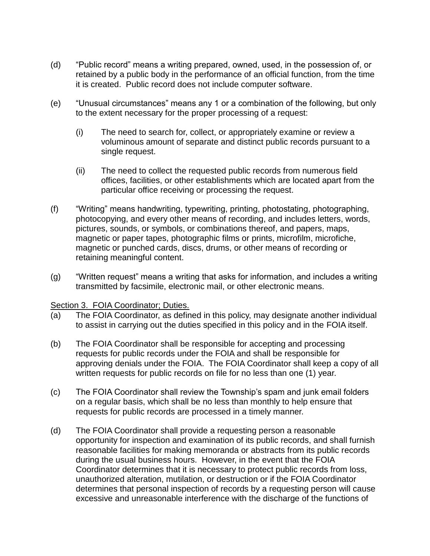- (d) "Public record" means a writing prepared, owned, used, in the possession of, or retained by a public body in the performance of an official function, from the time it is created. Public record does not include computer software.
- (e) "Unusual circumstances" means any 1 or a combination of the following, but only to the extent necessary for the proper processing of a request:
	- (i) The need to search for, collect, or appropriately examine or review a voluminous amount of separate and distinct public records pursuant to a single request.
	- (ii) The need to collect the requested public records from numerous field offices, facilities, or other establishments which are located apart from the particular office receiving or processing the request.
- (f) "Writing" means handwriting, typewriting, printing, photostating, photographing, photocopying, and every other means of recording, and includes letters, words, pictures, sounds, or symbols, or combinations thereof, and papers, maps, magnetic or paper tapes, photographic films or prints, microfilm, microfiche, magnetic or punched cards, discs, drums, or other means of recording or retaining meaningful content.
- (g) "Written request" means a writing that asks for information, and includes a writing transmitted by facsimile, electronic mail, or other electronic means.

## Section 3. FOIA Coordinator; Duties.

- (a) The FOIA Coordinator, as defined in this policy, may designate another individual to assist in carrying out the duties specified in this policy and in the FOIA itself.
- (b) The FOIA Coordinator shall be responsible for accepting and processing requests for public records under the FOIA and shall be responsible for approving denials under the FOIA. The FOIA Coordinator shall keep a copy of all written requests for public records on file for no less than one (1) year.
- (c) The FOIA Coordinator shall review the Township's spam and junk email folders on a regular basis, which shall be no less than monthly to help ensure that requests for public records are processed in a timely manner.
- (d) The FOIA Coordinator shall provide a requesting person a reasonable opportunity for inspection and examination of its public records, and shall furnish reasonable facilities for making memoranda or abstracts from its public records during the usual business hours. However, in the event that the FOIA Coordinator determines that it is necessary to protect public records from loss, unauthorized alteration, mutilation, or destruction or if the FOIA Coordinator determines that personal inspection of records by a requesting person will cause excessive and unreasonable interference with the discharge of the functions of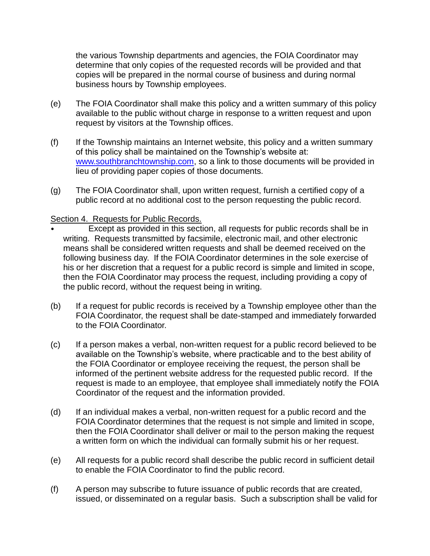the various Township departments and agencies, the FOIA Coordinator may determine that only copies of the requested records will be provided and that copies will be prepared in the normal course of business and during normal business hours by Township employees.

- (e) The FOIA Coordinator shall make this policy and a written summary of this policy available to the public without charge in response to a written request and upon request by visitors at the Township offices.
- (f) If the Township maintains an Internet website, this policy and a written summary of this policy shall be maintained on the Township's website at: [www.southbranchtownship.com,](http://www.southbranchtownship.com/) so a link to those documents will be provided in lieu of providing paper copies of those documents.
- (g) The FOIA Coordinator shall, upon written request, furnish a certified copy of a public record at no additional cost to the person requesting the public record.

## Section 4. Requests for Public Records.

- Except as provided in this section, all requests for public records shall be in writing. Requests transmitted by facsimile, electronic mail, and other electronic means shall be considered written requests and shall be deemed received on the following business day. If the FOIA Coordinator determines in the sole exercise of his or her discretion that a request for a public record is simple and limited in scope, then the FOIA Coordinator may process the request, including providing a copy of the public record, without the request being in writing.
- (b) If a request for public records is received by a Township employee other than the FOIA Coordinator, the request shall be date-stamped and immediately forwarded to the FOIA Coordinator.
- (c) If a person makes a verbal, non-written request for a public record believed to be available on the Township's website, where practicable and to the best ability of the FOIA Coordinator or employee receiving the request, the person shall be informed of the pertinent website address for the requested public record. If the request is made to an employee, that employee shall immediately notify the FOIA Coordinator of the request and the information provided.
- (d) If an individual makes a verbal, non-written request for a public record and the FOIA Coordinator determines that the request is not simple and limited in scope, then the FOIA Coordinator shall deliver or mail to the person making the request a written form on which the individual can formally submit his or her request.
- (e) All requests for a public record shall describe the public record in sufficient detail to enable the FOIA Coordinator to find the public record.
- (f) A person may subscribe to future issuance of public records that are created, issued, or disseminated on a regular basis. Such a subscription shall be valid for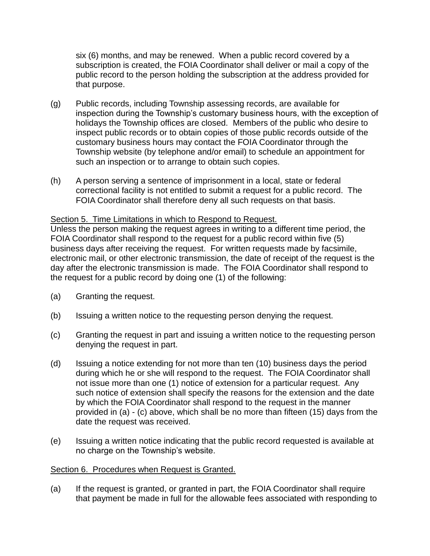six (6) months, and may be renewed. When a public record covered by a subscription is created, the FOIA Coordinator shall deliver or mail a copy of the public record to the person holding the subscription at the address provided for that purpose.

- (g) Public records, including Township assessing records, are available for inspection during the Township's customary business hours, with the exception of holidays the Township offices are closed. Members of the public who desire to inspect public records or to obtain copies of those public records outside of the customary business hours may contact the FOIA Coordinator through the Township website (by telephone and/or email) to schedule an appointment for such an inspection or to arrange to obtain such copies.
- (h) A person serving a sentence of imprisonment in a local, state or federal correctional facility is not entitled to submit a request for a public record. The FOIA Coordinator shall therefore deny all such requests on that basis.

## Section 5. Time Limitations in which to Respond to Request.

Unless the person making the request agrees in writing to a different time period, the FOIA Coordinator shall respond to the request for a public record within five (5) business days after receiving the request. For written requests made by facsimile, electronic mail, or other electronic transmission, the date of receipt of the request is the day after the electronic transmission is made. The FOIA Coordinator shall respond to the request for a public record by doing one (1) of the following:

- (a) Granting the request.
- (b) Issuing a written notice to the requesting person denying the request.
- (c) Granting the request in part and issuing a written notice to the requesting person denying the request in part.
- (d) Issuing a notice extending for not more than ten (10) business days the period during which he or she will respond to the request. The FOIA Coordinator shall not issue more than one (1) notice of extension for a particular request. Any such notice of extension shall specify the reasons for the extension and the date by which the FOIA Coordinator shall respond to the request in the manner provided in (a) - (c) above, which shall be no more than fifteen (15) days from the date the request was received.
- (e) Issuing a written notice indicating that the public record requested is available at no charge on the Township's website.

#### Section 6. Procedures when Request is Granted.

(a) If the request is granted, or granted in part, the FOIA Coordinator shall require that payment be made in full for the allowable fees associated with responding to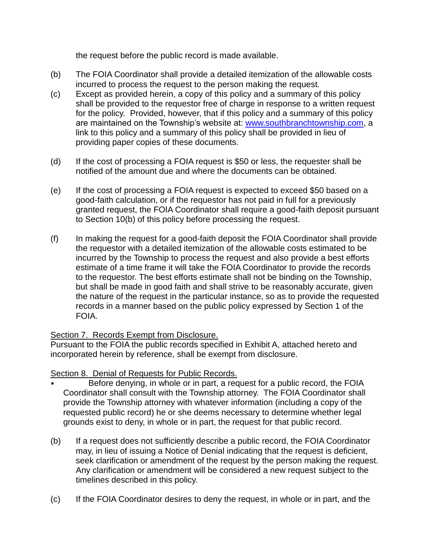the request before the public record is made available.

- (b) The FOIA Coordinator shall provide a detailed itemization of the allowable costs incurred to process the request to the person making the request.
- (c) Except as provided herein, a copy of this policy and a summary of this policy shall be provided to the requestor free of charge in response to a written request for the policy. Provided, however, that if this policy and a summary of this policy are maintained on the Township's website at: [www.southbranchtownship.com,](http://www.southbranchtownship.com/) a link to this policy and a summary of this policy shall be provided in lieu of providing paper copies of these documents.
- (d) If the cost of processing a FOIA request is \$50 or less, the requester shall be notified of the amount due and where the documents can be obtained.
- (e) If the cost of processing a FOIA request is expected to exceed \$50 based on a good-faith calculation, or if the requestor has not paid in full for a previously granted request, the FOIA Coordinator shall require a good-faith deposit pursuant to Section 10(b) of this policy before processing the request.
- (f) In making the request for a good-faith deposit the FOIA Coordinator shall provide the requestor with a detailed itemization of the allowable costs estimated to be incurred by the Township to process the request and also provide a best efforts estimate of a time frame it will take the FOIA Coordinator to provide the records to the requestor. The best efforts estimate shall not be binding on the Township, but shall be made in good faith and shall strive to be reasonably accurate, given the nature of the request in the particular instance, so as to provide the requested records in a manner based on the public policy expressed by Section 1 of the FOIA.

## Section 7. Records Exempt from Disclosure.

Pursuant to the FOIA the public records specified in Exhibit A, attached hereto and incorporated herein by reference, shall be exempt from disclosure.

# Section 8. Denial of Requests for Public Records.

- Before denying, in whole or in part, a request for a public record, the FOIA Coordinator shall consult with the Township attorney. The FOIA Coordinator shall provide the Township attorney with whatever information (including a copy of the requested public record) he or she deems necessary to determine whether legal grounds exist to deny, in whole or in part, the request for that public record.
- (b) If a request does not sufficiently describe a public record, the FOIA Coordinator may, in lieu of issuing a Notice of Denial indicating that the request is deficient, seek clarification or amendment of the request by the person making the request. Any clarification or amendment will be considered a new request subject to the timelines described in this policy.
- (c) If the FOIA Coordinator desires to deny the request, in whole or in part, and the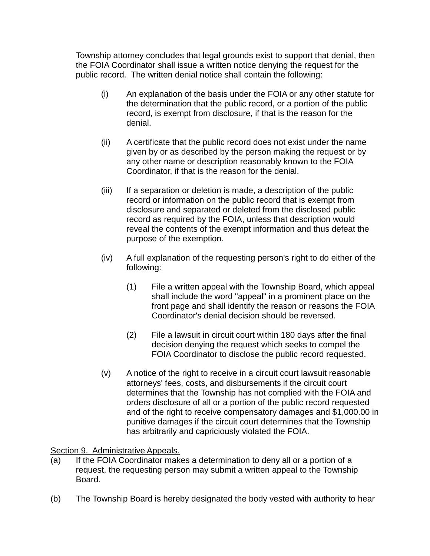Township attorney concludes that legal grounds exist to support that denial, then the FOIA Coordinator shall issue a written notice denying the request for the public record. The written denial notice shall contain the following:

- (i) An explanation of the basis under the FOIA or any other statute for the determination that the public record, or a portion of the public record, is exempt from disclosure, if that is the reason for the denial.
- (ii) A certificate that the public record does not exist under the name given by or as described by the person making the request or by any other name or description reasonably known to the FOIA Coordinator, if that is the reason for the denial.
- (iii) If a separation or deletion is made, a description of the public record or information on the public record that is exempt from disclosure and separated or deleted from the disclosed public record as required by the FOIA, unless that description would reveal the contents of the exempt information and thus defeat the purpose of the exemption.
- (iv) A full explanation of the requesting person's right to do either of the following:
	- (1) File a written appeal with the Township Board, which appeal shall include the word "appeal" in a prominent place on the front page and shall identify the reason or reasons the FOIA Coordinator's denial decision should be reversed.
	- (2) File a lawsuit in circuit court within 180 days after the final decision denying the request which seeks to compel the FOIA Coordinator to disclose the public record requested.
- (v) A notice of the right to receive in a circuit court lawsuit reasonable attorneys' fees, costs, and disbursements if the circuit court determines that the Township has not complied with the FOIA and orders disclosure of all or a portion of the public record requested and of the right to receive compensatory damages and \$1,000.00 in punitive damages if the circuit court determines that the Township has arbitrarily and capriciously violated the FOIA.

# Section 9. Administrative Appeals.

- (a) If the FOIA Coordinator makes a determination to deny all or a portion of a request, the requesting person may submit a written appeal to the Township Board.
- (b) The Township Board is hereby designated the body vested with authority to hear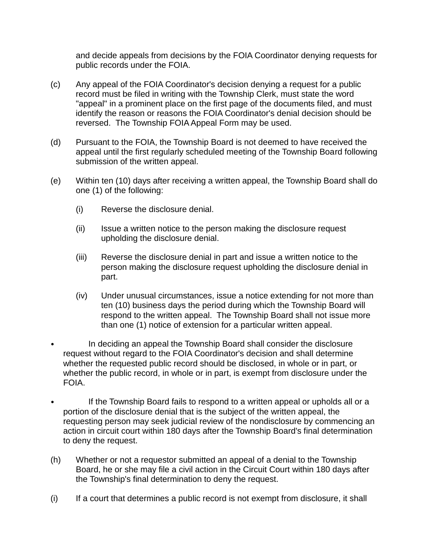and decide appeals from decisions by the FOIA Coordinator denying requests for public records under the FOIA.

- (c) Any appeal of the FOIA Coordinator's decision denying a request for a public record must be filed in writing with the Township Clerk, must state the word "appeal" in a prominent place on the first page of the documents filed, and must identify the reason or reasons the FOIA Coordinator's denial decision should be reversed. The Township FOIA Appeal Form may be used.
- (d) Pursuant to the FOIA, the Township Board is not deemed to have received the appeal until the first regularly scheduled meeting of the Township Board following submission of the written appeal.
- (e) Within ten (10) days after receiving a written appeal, the Township Board shall do one (1) of the following:
	- (i) Reverse the disclosure denial.
	- (ii) Issue a written notice to the person making the disclosure request upholding the disclosure denial.
	- (iii) Reverse the disclosure denial in part and issue a written notice to the person making the disclosure request upholding the disclosure denial in part.
	- (iv) Under unusual circumstances, issue a notice extending for not more than ten (10) business days the period during which the Township Board will respond to the written appeal. The Township Board shall not issue more than one (1) notice of extension for a particular written appeal.
- In deciding an appeal the Township Board shall consider the disclosure request without regard to the FOIA Coordinator's decision and shall determine whether the requested public record should be disclosed, in whole or in part, or whether the public record, in whole or in part, is exempt from disclosure under the FOIA.
- If the Township Board fails to respond to a written appeal or upholds all or a portion of the disclosure denial that is the subject of the written appeal, the requesting person may seek judicial review of the nondisclosure by commencing an action in circuit court within 180 days after the Township Board's final determination to deny the request.
- (h) Whether or not a requestor submitted an appeal of a denial to the Township Board, he or she may file a civil action in the Circuit Court within 180 days after the Township's final determination to deny the request.
- (i) If a court that determines a public record is not exempt from disclosure, it shall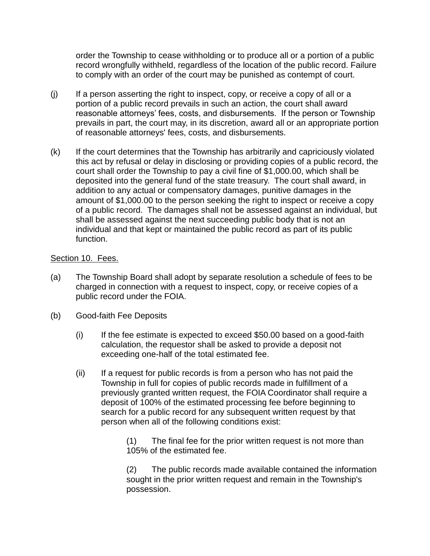order the Township to cease withholding or to produce all or a portion of a public record wrongfully withheld, regardless of the location of the public record. Failure to comply with an order of the court may be punished as contempt of court.

- (j) If a person asserting the right to inspect, copy, or receive a copy of all or a portion of a public record prevails in such an action, the court shall award reasonable attorneys' fees, costs, and disbursements. If the person or Township prevails in part, the court may, in its discretion, award all or an appropriate portion of reasonable attorneys' fees, costs, and disbursements.
- (k) If the court determines that the Township has arbitrarily and capriciously violated this act by refusal or delay in disclosing or providing copies of a public record, the court shall order the Township to pay a civil fine of \$1,000.00, which shall be deposited into the general fund of the state treasury. The court shall award, in addition to any actual or compensatory damages, punitive damages in the amount of \$1,000.00 to the person seeking the right to inspect or receive a copy of a public record. The damages shall not be assessed against an individual, but shall be assessed against the next succeeding public body that is not an individual and that kept or maintained the public record as part of its public function.

## Section 10. Fees.

- (a) The Township Board shall adopt by separate resolution a schedule of fees to be charged in connection with a request to inspect, copy, or receive copies of a public record under the FOIA.
- (b) Good-faith Fee Deposits
	- $(i)$  If the fee estimate is expected to exceed \$50.00 based on a good-faith calculation, the requestor shall be asked to provide a deposit not exceeding one-half of the total estimated fee.
	- (ii) If a request for public records is from a person who has not paid the Township in full for copies of public records made in fulfillment of a previously granted written request, the FOIA Coordinator shall require a deposit of 100% of the estimated processing fee before beginning to search for a public record for any subsequent written request by that person when all of the following conditions exist:

(1) The final fee for the prior written request is not more than 105% of the estimated fee.

(2) The public records made available contained the information sought in the prior written request and remain in the Township's possession.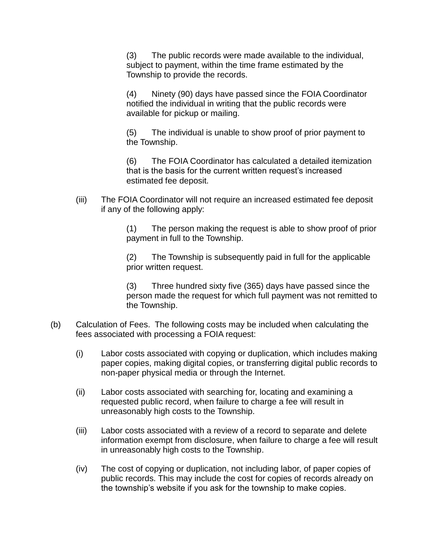(3) The public records were made available to the individual, subject to payment, within the time frame estimated by the Township to provide the records.

(4) Ninety (90) days have passed since the FOIA Coordinator notified the individual in writing that the public records were available for pickup or mailing.

(5) The individual is unable to show proof of prior payment to the Township.

(6) The FOIA Coordinator has calculated a detailed itemization that is the basis for the current written request's increased estimated fee deposit.

(iii) The FOIA Coordinator will not require an increased estimated fee deposit if any of the following apply:

> (1) The person making the request is able to show proof of prior payment in full to the Township.

(2) The Township is subsequently paid in full for the applicable prior written request.

(3) Three hundred sixty five (365) days have passed since the person made the request for which full payment was not remitted to the Township.

- (b) Calculation of Fees. The following costs may be included when calculating the fees associated with processing a FOIA request:
	- (i) Labor costs associated with copying or duplication, which includes making paper copies, making digital copies, or transferring digital public records to non-paper physical media or through the Internet.
	- (ii) Labor costs associated with searching for, locating and examining a requested public record, when failure to charge a fee will result in unreasonably high costs to the Township.
	- (iii) Labor costs associated with a review of a record to separate and delete information exempt from disclosure, when failure to charge a fee will result in unreasonably high costs to the Township.
	- (iv) The cost of copying or duplication, not including labor, of paper copies of public records. This may include the cost for copies of records already on the township's website if you ask for the township to make copies.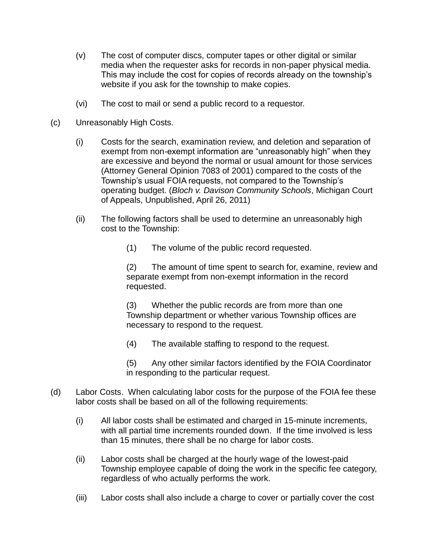- (v) The cost of computer discs, computer tapes or other digital or similar media when the requester asks for records in non-paper physical media. This may include the cost for copies of records already on the township's website if you ask for the township to make copies.
- (vi) The cost to mail or send a public record to a requestor.
- (c) Unreasonably High Costs.
	- (i) Costs for the search, examination review, and deletion and separation of exempt from non-exempt information are "unreasonably high" when they are excessive and beyond the normal or usual amount for those services (Attorney General Opinion 7083 of 2001) compared to the costs of the Township's usual FOIA requests, not compared to the Township's operating budget. (*Bloch v. Davison Community Schools*, Michigan Court of Appeals, Unpublished, April 26, 2011)
	- (ii) The following factors shall be used to determine an unreasonably high cost to the Township:
		- (1) The volume of the public record requested.

(2) The amount of time spent to search for, examine, review and separate exempt from non-exempt information in the record requested.

(3) Whether the public records are from more than one Township department or whether various Township offices are necessary to respond to the request.

(4) The available staffing to respond to the request.

(5) Any other similar factors identified by the FOIA Coordinator in responding to the particular request.

- (d) Labor Costs. When calculating labor costs for the purpose of the FOIA fee these labor costs shall be based on all of the following requirements:
	- (i) All labor costs shall be estimated and charged in 15-minute increments, with all partial time increments rounded down. If the time involved is less than 15 minutes, there shall be no charge for labor costs.
	- (ii) Labor costs shall be charged at the hourly wage of the lowest-paid Township employee capable of doing the work in the specific fee category, regardless of who actually performs the work.
	- (iii) Labor costs shall also include a charge to cover or partially cover the cost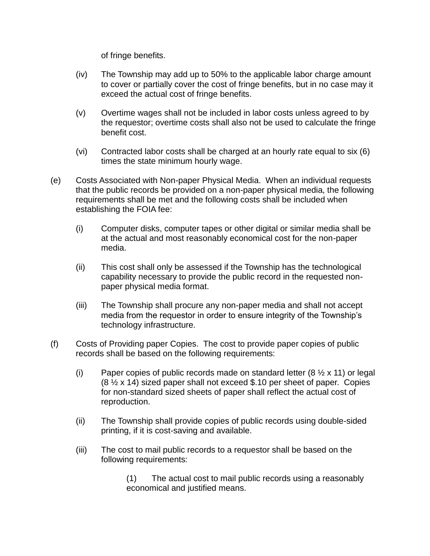of fringe benefits.

- (iv) The Township may add up to 50% to the applicable labor charge amount to cover or partially cover the cost of fringe benefits, but in no case may it exceed the actual cost of fringe benefits.
- (v) Overtime wages shall not be included in labor costs unless agreed to by the requestor; overtime costs shall also not be used to calculate the fringe benefit cost.
- (vi) Contracted labor costs shall be charged at an hourly rate equal to six (6) times the state minimum hourly wage.
- (e) Costs Associated with Non-paper Physical Media. When an individual requests that the public records be provided on a non-paper physical media, the following requirements shall be met and the following costs shall be included when establishing the FOIA fee:
	- (i) Computer disks, computer tapes or other digital or similar media shall be at the actual and most reasonably economical cost for the non-paper media.
	- (ii) This cost shall only be assessed if the Township has the technological capability necessary to provide the public record in the requested nonpaper physical media format.
	- (iii) The Township shall procure any non-paper media and shall not accept media from the requestor in order to ensure integrity of the Township's technology infrastructure.
- (f) Costs of Providing paper Copies. The cost to provide paper copies of public records shall be based on the following requirements:
	- (i) Paper copies of public records made on standard letter  $(8 \times x 11)$  or legal  $(8 \frac{1}{2} \times 14)$  sized paper shall not exceed \$.10 per sheet of paper. Copies for non-standard sized sheets of paper shall reflect the actual cost of reproduction.
	- (ii) The Township shall provide copies of public records using double-sided printing, if it is cost-saving and available.
	- (iii) The cost to mail public records to a requestor shall be based on the following requirements:

(1) The actual cost to mail public records using a reasonably economical and justified means.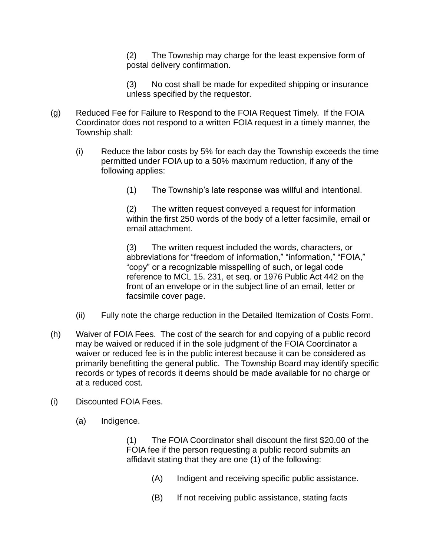(2) The Township may charge for the least expensive form of postal delivery confirmation.

(3) No cost shall be made for expedited shipping or insurance unless specified by the requestor.

- (g) Reduced Fee for Failure to Respond to the FOIA Request Timely. If the FOIA Coordinator does not respond to a written FOIA request in a timely manner, the Township shall:
	- (i) Reduce the labor costs by 5% for each day the Township exceeds the time permitted under FOIA up to a 50% maximum reduction, if any of the following applies:
		- (1) The Township's late response was willful and intentional.

(2) The written request conveyed a request for information within the first 250 words of the body of a letter facsimile, email or email attachment.

(3) The written request included the words, characters, or abbreviations for "freedom of information," "information," "FOIA," "copy" or a recognizable misspelling of such, or legal code reference to MCL 15. 231, et seq. or 1976 Public Act 442 on the front of an envelope or in the subject line of an email, letter or facsimile cover page.

- (ii) Fully note the charge reduction in the Detailed Itemization of Costs Form.
- (h) Waiver of FOIA Fees. The cost of the search for and copying of a public record may be waived or reduced if in the sole judgment of the FOIA Coordinator a waiver or reduced fee is in the public interest because it can be considered as primarily benefitting the general public. The Township Board may identify specific records or types of records it deems should be made available for no charge or at a reduced cost.
- (i) Discounted FOIA Fees.
	- (a) Indigence.

(1) The FOIA Coordinator shall discount the first \$20.00 of the FOIA fee if the person requesting a public record submits an affidavit stating that they are one (1) of the following:

- (A) Indigent and receiving specific public assistance.
- (B) If not receiving public assistance, stating facts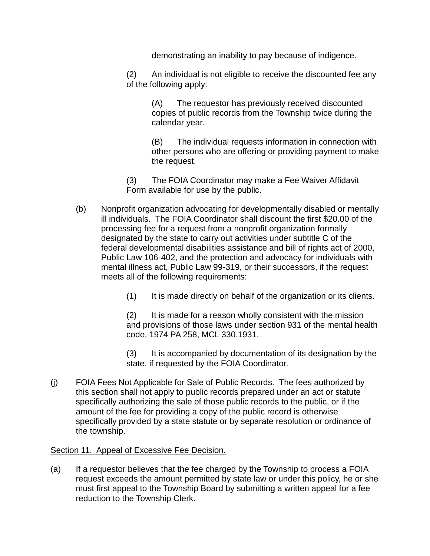demonstrating an inability to pay because of indigence.

(2) An individual is not eligible to receive the discounted fee any of the following apply:

> (A) The requestor has previously received discounted copies of public records from the Township twice during the calendar year.

(B) The individual requests information in connection with other persons who are offering or providing payment to make the request.

(3) The FOIA Coordinator may make a Fee Waiver Affidavit Form available for use by the public.

- (b) Nonprofit organization advocating for developmentally disabled or mentally ill individuals. The FOIA Coordinator shall discount the first \$20.00 of the processing fee for a request from a nonprofit organization formally designated by the state to carry out activities under subtitle C of the federal developmental disabilities assistance and bill of rights act of 2000, Public Law 106-402, and the protection and advocacy for individuals with mental illness act, Public Law 99-319, or their successors, if the request meets all of the following requirements:
	- (1) It is made directly on behalf of the organization or its clients.

(2) It is made for a reason wholly consistent with the mission and provisions of those laws under section 931 of the mental health code, 1974 PA 258, MCL 330.1931.

(3) It is accompanied by documentation of its designation by the state, if requested by the FOIA Coordinator.

(j) FOIA Fees Not Applicable for Sale of Public Records. The fees authorized by this section shall not apply to public records prepared under an act or statute specifically authorizing the sale of those public records to the public, or if the amount of the fee for providing a copy of the public record is otherwise specifically provided by a state statute or by separate resolution or ordinance of the township.

## Section 11. Appeal of Excessive Fee Decision.

(a) If a requestor believes that the fee charged by the Township to process a FOIA request exceeds the amount permitted by state law or under this policy, he or she must first appeal to the Township Board by submitting a written appeal for a fee reduction to the Township Clerk.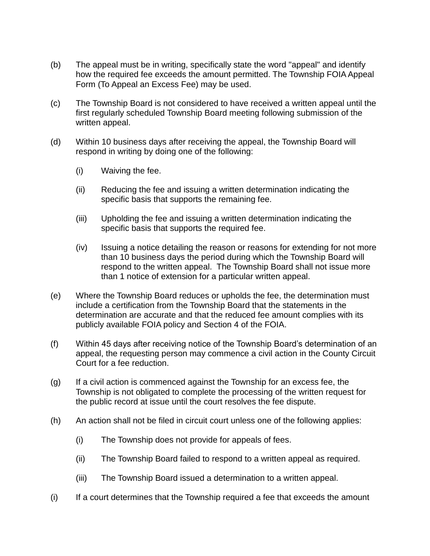- (b) The appeal must be in writing, specifically state the word "appeal" and identify how the required fee exceeds the amount permitted. The Township FOIA Appeal Form (To Appeal an Excess Fee) may be used.
- (c) The Township Board is not considered to have received a written appeal until the first regularly scheduled Township Board meeting following submission of the written appeal.
- (d) Within 10 business days after receiving the appeal, the Township Board will respond in writing by doing one of the following:
	- (i) Waiving the fee.
	- (ii) Reducing the fee and issuing a written determination indicating the specific basis that supports the remaining fee.
	- (iii) Upholding the fee and issuing a written determination indicating the specific basis that supports the required fee.
	- (iv) Issuing a notice detailing the reason or reasons for extending for not more than 10 business days the period during which the Township Board will respond to the written appeal. The Township Board shall not issue more than 1 notice of extension for a particular written appeal.
- (e) Where the Township Board reduces or upholds the fee, the determination must include a certification from the Township Board that the statements in the determination are accurate and that the reduced fee amount complies with its publicly available FOIA policy and Section 4 of the FOIA.
- (f) Within 45 days after receiving notice of the Township Board's determination of an appeal, the requesting person may commence a civil action in the County Circuit Court for a fee reduction.
- (g) If a civil action is commenced against the Township for an excess fee, the Township is not obligated to complete the processing of the written request for the public record at issue until the court resolves the fee dispute.
- (h) An action shall not be filed in circuit court unless one of the following applies:
	- (i) The Township does not provide for appeals of fees.
	- (ii) The Township Board failed to respond to a written appeal as required.
	- (iii) The Township Board issued a determination to a written appeal.
- (i) If a court determines that the Township required a fee that exceeds the amount